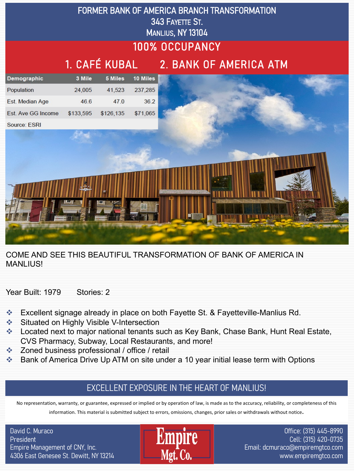

COME AND SEE THIS BEAUTIFUL TRANSFORMATION OF BANK OF AMERICA IN MANLIUS!

Year Built: 1979 Stories: 2

- v Excellent signage already in place on both Fayette St. & Fayetteville-Manlius Rd.
- **Example 3 Situated on Highly Visible V-Intersection**
- ◆ Located next to major national tenants such as Key Bank, Chase Bank, Hunt Real Estate, CVS Pharmacy, Subway, Local Restaurants, and more!
- v Zoned business professional / office / retail
- **EXAM** Bank of America Drive Up ATM on site under a 10 year initial lease term with Options

## EXCELLENT EXPOSURE IN THE HEART OF MANLIUS!

No representation, warranty, or guarantee, expressed or implied or by operation of law, is made as to the accuracy, reliability, or completeness of this information. This material is submitted subject to errors, omissions, changes, prior sales or withdrawals without notice.

David C. Muraco **President** Empire Management of CNY, Inc. 4306 East Genesee St. Dewitt, NY 13214



Office: (315) 445-8990 Cell: (315) 420-0735 Email: dcmuraco@empiremgtco.com www.empiremgtco.com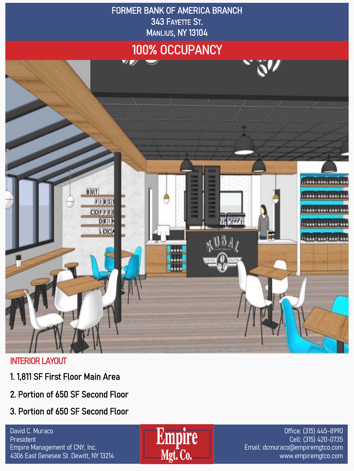

## INTERIOR LAYOUT

- 1. 1,811 SF First Floor Main Area
- 2. Portion of 650 SF Second Floor
- 3. Portion of 650 SF Second Floor

David C. Muraco **President** Empire Management of CNY, Inc. 4306 East Genesee St. Dewitt, NY 13214



Office: (315) 445-8990 Cell: (315) 420-0735 Email: dcmuraco@empiremgtco.com www.empiremgtco.com